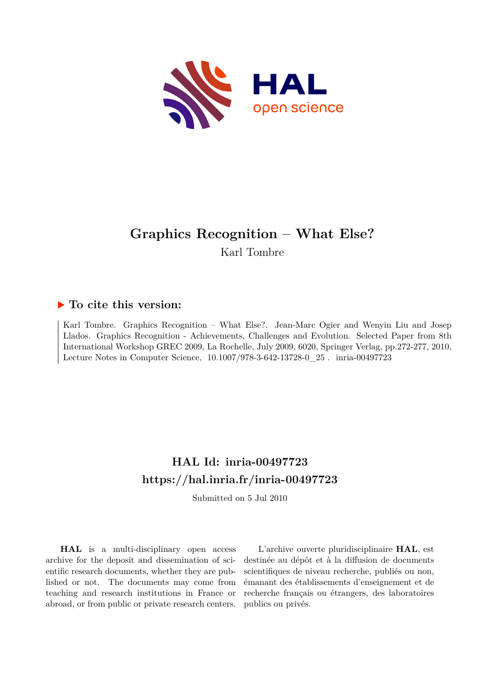

# **Graphics Recognition – What Else?** Karl Tombre

# **To cite this version:**

Karl Tombre. Graphics Recognition – What Else?. Jean-Marc Ogier and Wenyin Liu and Josep Llados. Graphics Recognition - Achievements, Challenges and Evolution. Selected Paper from 8th International Workshop GREC 2009, La Rochelle, July 2009, 6020, Springer Verlag, pp.272-277, 2010, Lecture Notes in Computer Science, 10.1007/978-3-642-13728-0 25. inria-00497723

# **HAL Id: inria-00497723 <https://hal.inria.fr/inria-00497723>**

Submitted on 5 Jul 2010

**HAL** is a multi-disciplinary open access archive for the deposit and dissemination of scientific research documents, whether they are published or not. The documents may come from teaching and research institutions in France or abroad, or from public or private research centers.

L'archive ouverte pluridisciplinaire **HAL**, est destinée au dépôt et à la diffusion de documents scientifiques de niveau recherche, publiés ou non, émanant des établissements d'enseignement et de recherche français ou étrangers, des laboratoires publics ou privés.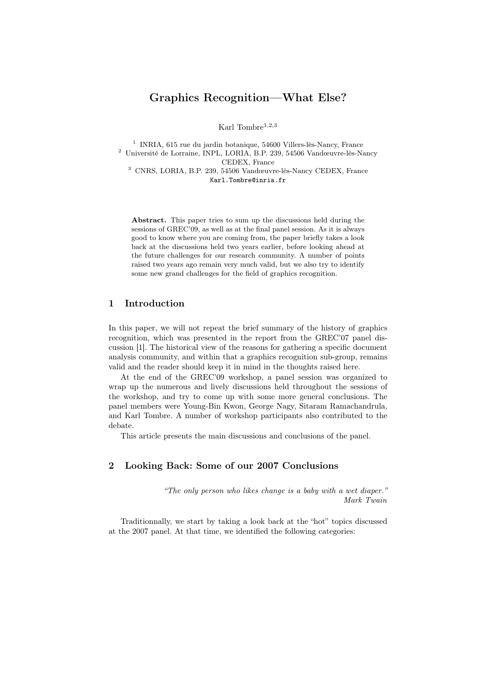# Graphics Recognition—What Else?

Karl Tombre<sup>1,2,3</sup>

1 INRIA, 615 rue du jardin botanique, 54600 Villers-lès-Nancy, France <sup>2</sup> Université de Lorraine, INPL, LORIA, B.P. 239, 54506 Vandœuvre-lès-Nancy CEDEX, France <sup>3</sup> CNRS, LORIA, B.P. 239, 54506 Vandœuvre-lès-Nancy CEDEX, France Karl.Tombre@inria.fr

Abstract. This paper tries to sum up the discussions held during the sessions of GREC'09, as well as at the final panel session. As it is always good to know where you are coming from, the paper briefly takes a look back at the discussions held two years earlier, before looking ahead at the future challenges for our research community. A number of points raised two years ago remain very much valid, but we also try to identify some new grand challenges for the field of graphics recognition.

# 1 Introduction

In this paper, we will not repeat the brief summary of the history of graphics recognition, which was presented in the report from the GREC'07 panel discussion [1]. The historical view of the reasons for gathering a specific document analysis community, and within that a graphics recognition sub-group, remains valid and the reader should keep it in mind in the thoughts raised here.

At the end of the GREC'09 workshop, a panel session was organized to wrap up the numerous and lively discussions held throughout the sessions of the workshop, and try to come up with some more general conclusions. The panel members were Young-Bin Kwon, George Nagy, Sitaram Ramachandrula, and Karl Tombre. A number of workshop participants also contributed to the debate.

This article presents the main discussions and conclusions of the panel.

## 2 Looking Back: Some of our 2007 Conclusions

"The only person who likes change is a baby with a wet diaper." Mark Twain

Traditionnally, we start by taking a look back at the "hot" topics discussed at the 2007 panel. At that time, we identified the following categories: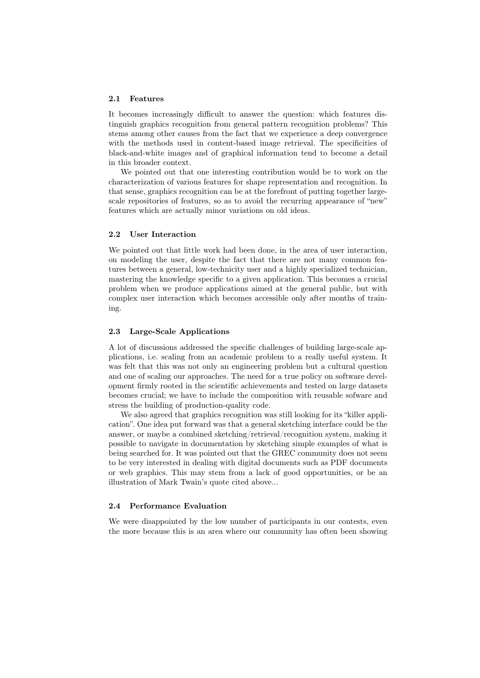#### 2.1 Features

It becomes increasingly difficult to answer the question: which features distinguish graphics recognition from general pattern recognition problems? This stems among other causes from the fact that we experience a deep convergence with the methods used in content-based image retrieval. The specificities of black-and-white images and of graphical information tend to become a detail in this broader context.

We pointed out that one interesting contribution would be to work on the characterization of various features for shape representation and recognition. In that sense, graphics recognition can be at the forefront of putting together largescale repositories of features, so as to avoid the recurring appearance of "new" features which are actually minor variations on old ideas.

#### 2.2 User Interaction

We pointed out that little work had been done, in the area of user interaction, on modeling the user, despite the fact that there are not many common features between a general, low-technicity user and a highly specialized technician, mastering the knowledge specific to a given application. This becomes a crucial problem when we produce applications aimed at the general public, but with complex user interaction which becomes accessible only after months of training.

#### 2.3 Large-Scale Applications

A lot of discussions addressed the specific challenges of building large-scale applications, i.e. scaling from an academic problem to a really useful system. It was felt that this was not only an engineering problem but a cultural question and one of scaling our approaches. The need for a true policy on software development firmly rooted in the scientific achievements and tested on large datasets becomes crucial; we have to include the composition with reusable sofware and stress the building of production-quality code.

We also agreed that graphics recognition was still looking for its "killer application". One idea put forward was that a general sketching interface could be the answer, or maybe a combined sketching/retrieval/recognition system, making it possible to navigate in documentation by sketching simple examples of what is being searched for. It was pointed out that the GREC community does not seem to be very interested in dealing with digital documents such as PDF documents or web graphics. This may stem from a lack of good opportunities, or be an illustration of Mark Twain's quote cited above...

#### 2.4 Performance Evaluation

We were disappointed by the low number of participants in our contests, even the more because this is an area where our community has often been showing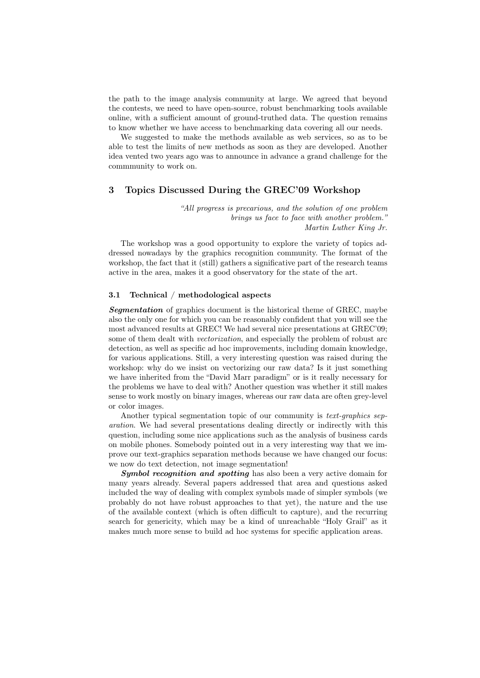the path to the image analysis community at large. We agreed that beyond the contests, we need to have open-source, robust benchmarking tools available online, with a sufficient amount of ground-truthed data. The question remains to know whether we have access to benchmarking data covering all our needs.

We suggested to make the methods available as web services, so as to be able to test the limits of new methods as soon as they are developed. Another idea vented two years ago was to announce in advance a grand challenge for the commmunity to work on.

# 3 Topics Discussed During the GREC'09 Workshop

"All progress is precarious, and the solution of one problem brings us face to face with another problem." Martin Luther King Jr.

The workshop was a good opportunity to explore the variety of topics addressed nowadays by the graphics recognition community. The format of the workshop, the fact that it (still) gathers a significative part of the research teams active in the area, makes it a good observatory for the state of the art.

#### 3.1 Technical / methodological aspects

**Segmentation** of graphics document is the historical theme of GREC, maybe also the only one for which you can be reasonably confident that you will see the most advanced results at GREC! We had several nice presentations at GREC'09; some of them dealt with *vectorization*, and especially the problem of robust arc detection, as well as specific ad hoc improvements, including domain knowledge, for various applications. Still, a very interesting question was raised during the workshop: why do we insist on vectorizing our raw data? Is it just something we have inherited from the "David Marr paradigm" or is it really necessary for the problems we have to deal with? Another question was whether it still makes sense to work mostly on binary images, whereas our raw data are often grey-level or color images.

Another typical segmentation topic of our community is *text-graphics sep*aration. We had several presentations dealing directly or indirectly with this question, including some nice applications such as the analysis of business cards on mobile phones. Somebody pointed out in a very interesting way that we improve our text-graphics separation methods because we have changed our focus: we now do text detection, not image segmentation!

Symbol recognition and spotting has also been a very active domain for many years already. Several papers addressed that area and questions asked included the way of dealing with complex symbols made of simpler symbols (we probably do not have robust approaches to that yet), the nature and the use of the available context (which is often difficult to capture), and the recurring search for genericity, which may be a kind of unreachable "Holy Grail" as it makes much more sense to build ad hoc systems for specific application areas.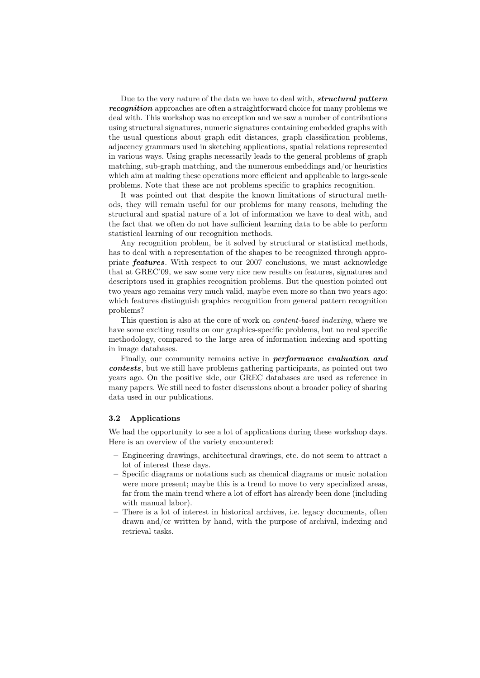Due to the very nature of the data we have to deal with, **structural pattern** recognition approaches are often a straightforward choice for many problems we deal with. This workshop was no exception and we saw a number of contributions using structural signatures, numeric signatures containing embedded graphs with the usual questions about graph edit distances, graph classification problems, adjacency grammars used in sketching applications, spatial relations represented in various ways. Using graphs necessarily leads to the general problems of graph matching, sub-graph matching, and the numerous embeddings and/or heuristics which aim at making these operations more efficient and applicable to large-scale problems. Note that these are not problems specific to graphics recognition.

It was pointed out that despite the known limitations of structural methods, they will remain useful for our problems for many reasons, including the structural and spatial nature of a lot of information we have to deal with, and the fact that we often do not have sufficient learning data to be able to perform statistical learning of our recognition methods.

Any recognition problem, be it solved by structural or statistical methods, has to deal with a representation of the shapes to be recognized through appropriate features. With respect to our 2007 conclusions, we must acknowledge that at GREC'09, we saw some very nice new results on features, signatures and descriptors used in graphics recognition problems. But the question pointed out two years ago remains very much valid, maybe even more so than two years ago: which features distinguish graphics recognition from general pattern recognition problems?

This question is also at the core of work on content-based indexing, where we have some exciting results on our graphics-specific problems, but no real specific methodology, compared to the large area of information indexing and spotting in image databases.

Finally, our community remains active in performance evaluation and contests, but we still have problems gathering participants, as pointed out two years ago. On the positive side, our GREC databases are used as reference in many papers. We still need to foster discussions about a broader policy of sharing data used in our publications.

#### 3.2 Applications

We had the opportunity to see a lot of applications during these workshop days. Here is an overview of the variety encountered:

- Engineering drawings, architectural drawings, etc. do not seem to attract a lot of interest these days.
- Specific diagrams or notations such as chemical diagrams or music notation were more present; maybe this is a trend to move to very specialized areas, far from the main trend where a lot of effort has already been done (including with manual labor).
- There is a lot of interest in historical archives, i.e. legacy documents, often drawn and/or written by hand, with the purpose of archival, indexing and retrieval tasks.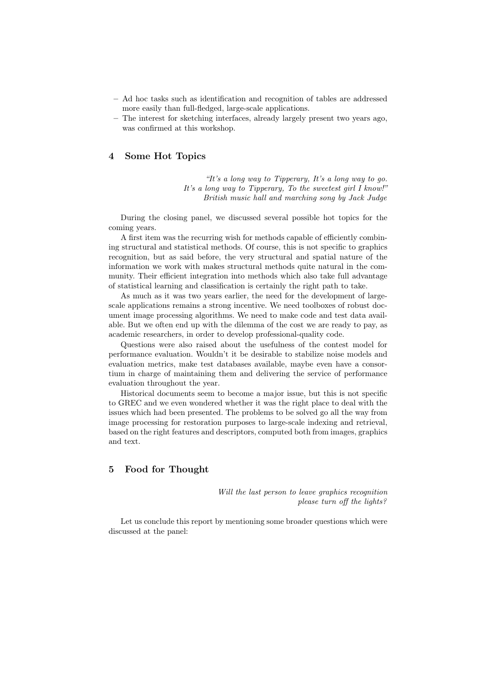- Ad hoc tasks such as identification and recognition of tables are addressed more easily than full-fledged, large-scale applications.
- The interest for sketching interfaces, already largely present two years ago, was confirmed at this workshop.

### 4 Some Hot Topics

"It's a long way to Tipperary, It's a long way to go. It's a long way to Tipperary, To the sweetest girl I know!" British music hall and marching song by Jack Judge

During the closing panel, we discussed several possible hot topics for the coming years.

A first item was the recurring wish for methods capable of efficiently combining structural and statistical methods. Of course, this is not specific to graphics recognition, but as said before, the very structural and spatial nature of the information we work with makes structural methods quite natural in the community. Their efficient integration into methods which also take full advantage of statistical learning and classification is certainly the right path to take.

As much as it was two years earlier, the need for the development of largescale applications remains a strong incentive. We need toolboxes of robust document image processing algorithms. We need to make code and test data available. But we often end up with the dilemma of the cost we are ready to pay, as academic researchers, in order to develop professional-quality code.

Questions were also raised about the usefulness of the contest model for performance evaluation. Wouldn't it be desirable to stabilize noise models and evaluation metrics, make test databases available, maybe even have a consortium in charge of maintaining them and delivering the service of performance evaluation throughout the year.

Historical documents seem to become a major issue, but this is not specific to GREC and we even wondered whether it was the right place to deal with the issues which had been presented. The problems to be solved go all the way from image processing for restoration purposes to large-scale indexing and retrieval, based on the right features and descriptors, computed both from images, graphics and text.

## 5 Food for Thought

Will the last person to leave graphics recognition please turn off the lights?

Let us conclude this report by mentioning some broader questions which were discussed at the panel: